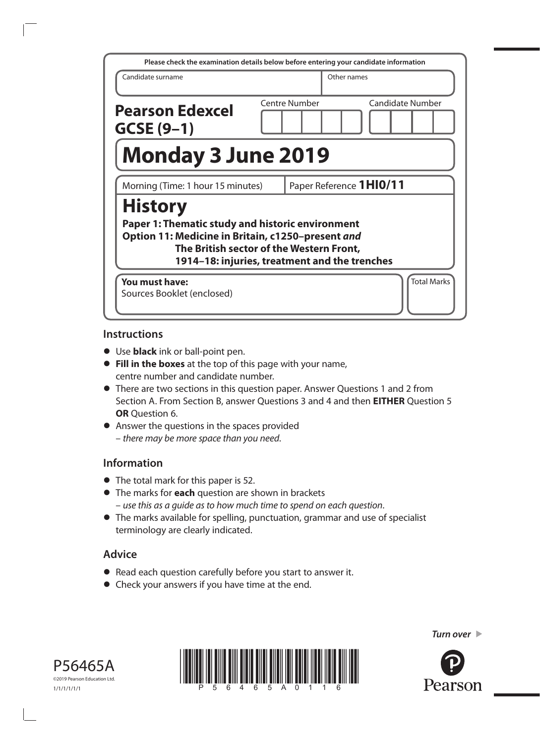| Please check the examination details below before entering your candidate information                                                                                                                     |                      |                         |                         |                    |
|-----------------------------------------------------------------------------------------------------------------------------------------------------------------------------------------------------------|----------------------|-------------------------|-------------------------|--------------------|
| Candidate surname                                                                                                                                                                                         |                      | Other names             |                         |                    |
| <b>Pearson Edexcel</b><br>$GCSE(9-1)$                                                                                                                                                                     | <b>Centre Number</b> |                         | <b>Candidate Number</b> |                    |
| <b>Monday 3 June 2019</b>                                                                                                                                                                                 |                      |                         |                         |                    |
| Morning (Time: 1 hour 15 minutes)                                                                                                                                                                         |                      | Paper Reference 1HIO/11 |                         |                    |
| <b>History</b>                                                                                                                                                                                            |                      |                         |                         |                    |
| <b>Paper 1: Thematic study and historic environment</b><br>Option 11: Medicine in Britain, c1250-present and<br>The British sector of the Western Front,<br>1914–18: injuries, treatment and the trenches |                      |                         |                         |                    |
| You must have:<br>Sources Booklet (enclosed)                                                                                                                                                              |                      |                         |                         | <b>Total Marks</b> |

#### **Instructions**

- **•** Use **black** ink or ball-point pen.
- **• Fill in the boxes** at the top of this page with your name, centre number and candidate number.
- **•** There are two sections in this question paper. Answer Questions 1 and 2 from Section A. From Section B, answer Questions 3 and 4 and then **EITHER** Question 5 **OR** Question 6.
- **•** Answer the questions in the spaces provided – *there may be more space than you need*.

# **Information**

- **•** The total mark for this paper is 52.
- **•** The marks for **each** question are shown in brackets – *use this as a guide as to how much time to spend on each question*.
- **•** The marks available for spelling, punctuation, grammar and use of specialist terminology are clearly indicated.

# **Advice**

- **•** Read each question carefully before you start to answer it.
- **•** Check your answers if you have time at the end.





*Turn over* 

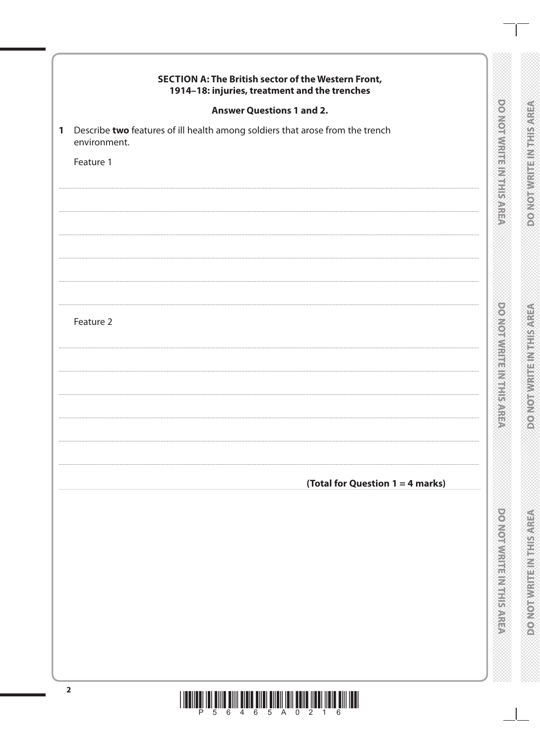| <b>Answer Questions 1 and 2.</b><br>Describe two features of ill health among soldiers that arose from the trench<br>environment.<br>Feature 1 | <b>DOMORATION IN THE REAL PROPERTY</b> |
|------------------------------------------------------------------------------------------------------------------------------------------------|----------------------------------------|
|                                                                                                                                                |                                        |
| Feature 2                                                                                                                                      | <b>POSTORY OF STRAINING</b>            |
| (Total for Question 1 = 4 marks)                                                                                                               | <b>DOMOTOWREDNERS</b>                  |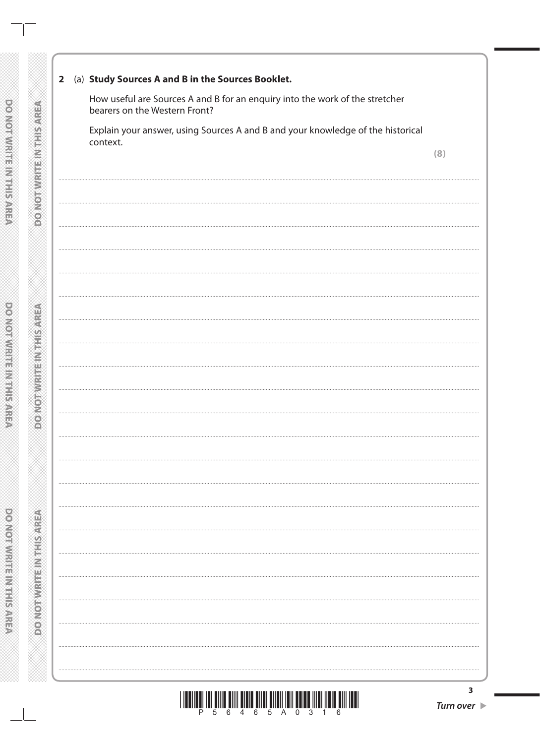#### 2 (a) Study Sources A and B in the Sources Booklet.

How useful are Sources A and B for an enquiry into the work of the stretcher bearers on the Western Front?

Explain your answer, using Sources A and B and your knowledge of the historical context.

 $(8)$ 

| 3 |
|---|

 $-5$  6 4 6 5 A 0 3 1 6

人名日本

**DO NOTIVELE HNTHS**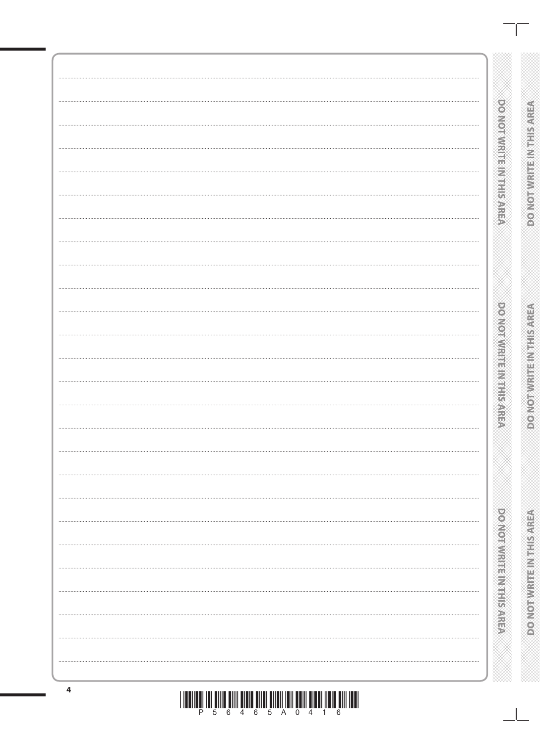| <u> I ITTIITTI ITTOILU TIILLEEN KUULINIIN ON TAI TUNNEEN INNE TIILLEEN </u><br>6 4 6 5 A 0 4 1<br>$5 -$ |  |
|---------------------------------------------------------------------------------------------------------|--|

| <b>PONOINE IN ENTERING METALEM</b>     |
|----------------------------------------|
|                                        |
|                                        |
|                                        |
|                                        |
|                                        |
|                                        |
|                                        |
|                                        |
|                                        |
|                                        |
|                                        |
|                                        |
|                                        |
|                                        |
|                                        |
|                                        |
|                                        |
|                                        |
|                                        |
|                                        |
|                                        |
|                                        |
|                                        |
|                                        |
|                                        |
|                                        |
|                                        |
|                                        |
|                                        |
|                                        |
|                                        |
|                                        |
|                                        |
| <b>SOUTH AND RESIDENCE OF STRAIGHT</b> |
|                                        |
|                                        |
|                                        |
|                                        |
|                                        |
|                                        |
|                                        |
|                                        |
|                                        |
|                                        |
|                                        |
|                                        |
|                                        |
|                                        |
|                                        |
|                                        |
|                                        |
|                                        |
|                                        |
|                                        |
|                                        |
|                                        |
| <b>DOMOTIVE RENT EXPERIEN</b>          |
|                                        |
|                                        |
|                                        |
|                                        |
|                                        |
|                                        |
|                                        |
|                                        |
|                                        |
|                                        |
|                                        |
|                                        |
|                                        |
|                                        |
|                                        |
|                                        |
|                                        |
|                                        |
|                                        |
|                                        |

Ξ

DONOTWRITEINTHIS AREA

**DO NOT WRITEIN THIS AREA** 

**DONOTWRITE INTHIS AREA**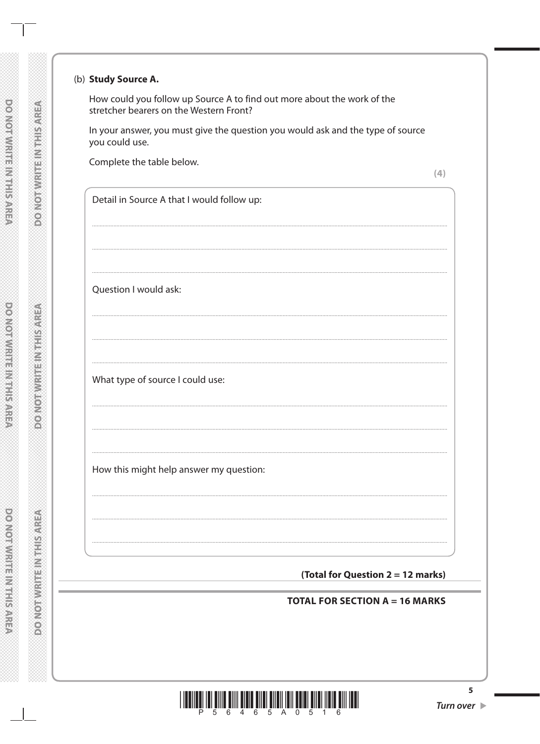#### (b) Study Source A.

How could you follow up Source A to find out more about the work of the stretcher bearers on the Western Front?

In your answer, you must give the question you would ask and the type of source you could use.

Complete the table below.

 $(4)$ 

|                                         | (Total for Question 2 = 12 marks) |
|-----------------------------------------|-----------------------------------|
|                                         |                                   |
|                                         |                                   |
| How this might help answer my question: |                                   |
|                                         |                                   |
|                                         |                                   |
| What type of source I could use:        |                                   |
|                                         |                                   |
|                                         |                                   |
| Question I would ask:                   |                                   |
|                                         |                                   |



5

**DO NOTWRITEINITE SAFE** 

**CENTRAL PRODUCTIONS OF PRODUCT** 

**DO NOT WRITE/NATHS/AREA**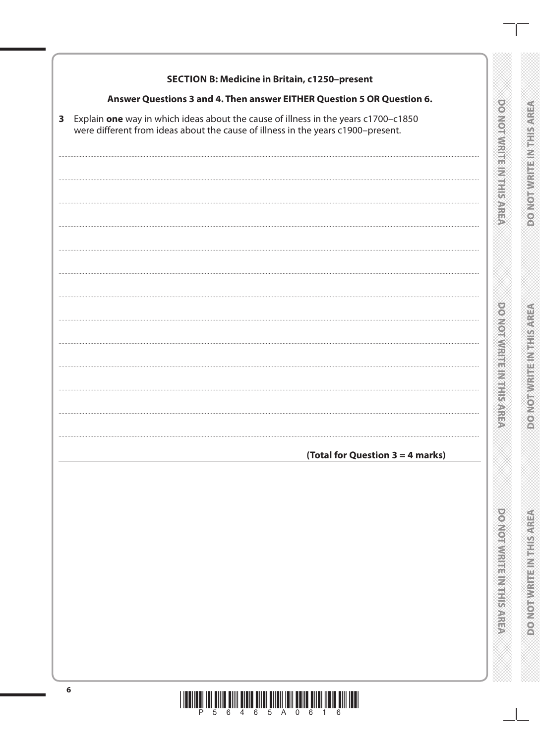| Answer Questions 3 and 4. Then answer EITHER Question 5 OR Question 6.                                                                                                 |                                  |
|------------------------------------------------------------------------------------------------------------------------------------------------------------------------|----------------------------------|
| Explain one way in which ideas about the cause of illness in the years c1700-c1850<br>were different from ideas about the cause of illness in the years c1900-present. | <b>PONCERNIAN PRESENTED</b>      |
| (Total for Question 3 = 4 marks)                                                                                                                                       | <b>DOMORATION SERVICES</b>       |
|                                                                                                                                                                        | <b>Do Mondial Harrison State</b> |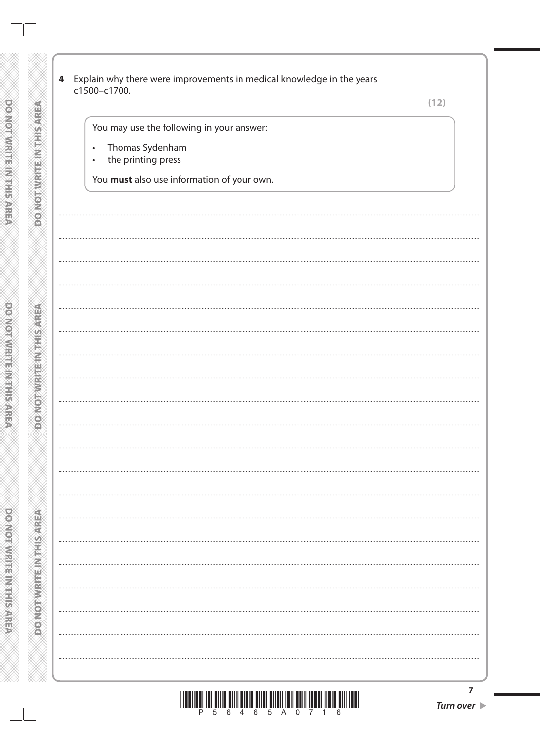|                                                                 | (12) |
|-----------------------------------------------------------------|------|
| You may use the following in your answer:                       |      |
| Thomas Sydenham<br>$\bullet$<br>the printing press<br>$\bullet$ |      |
| You must also use information of your own.                      |      |
|                                                                 |      |
|                                                                 |      |
|                                                                 |      |
|                                                                 |      |
|                                                                 |      |
|                                                                 |      |
|                                                                 |      |
|                                                                 |      |
|                                                                 |      |
|                                                                 |      |
|                                                                 |      |
|                                                                 |      |
|                                                                 |      |
|                                                                 |      |
|                                                                 |      |
|                                                                 |      |
|                                                                 |      |
|                                                                 |      |
|                                                                 |      |
|                                                                 |      |
|                                                                 |      |
|                                                                 |      |
|                                                                 |      |
|                                                                 |      |
|                                                                 |      |
|                                                                 |      |
|                                                                 |      |

 $\mathbf{I}$ 

DONOTWRITE IN THIS AREA

**DONOT WRITEIN THIS AREA**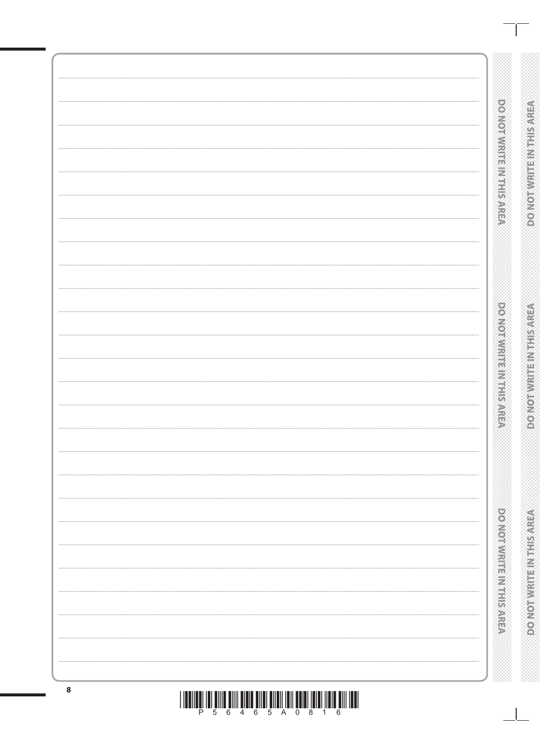| Ρ | <u>ul idi bilib billi bible bildi bildi idil bolgi ididi ildib b</u><br>5 6 4 6 5 A 0 8 1 6 |  |
|---|---------------------------------------------------------------------------------------------|--|
|   |                                                                                             |  |
|   |                                                                                             |  |
|   |                                                                                             |  |

| <b>DOMORATION FRAME CAREER</b>     |
|------------------------------------|
|                                    |
|                                    |
|                                    |
|                                    |
|                                    |
|                                    |
|                                    |
|                                    |
|                                    |
|                                    |
|                                    |
|                                    |
|                                    |
|                                    |
| <b>PONONNIE PROTECTIONS</b>        |
|                                    |
|                                    |
|                                    |
| ъ                                  |
|                                    |
|                                    |
|                                    |
|                                    |
|                                    |
|                                    |
|                                    |
|                                    |
|                                    |
|                                    |
|                                    |
|                                    |
|                                    |
| position with the main is a stream |
|                                    |
|                                    |
|                                    |
|                                    |

Ξ

DONOTWRITEINTHIS AREA

**DO NOT WRITEIN THIS AREA** 

**DONOTWRITEINTHIS AREA**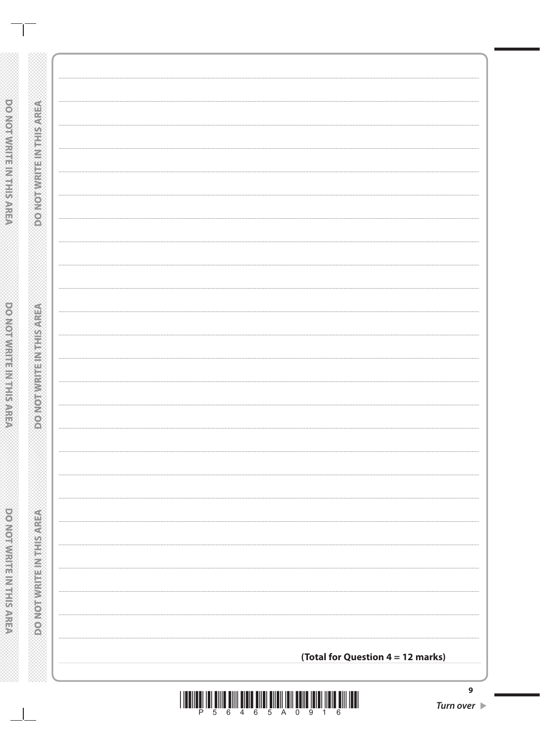| <b>MERRER</b><br><br>Ø       |  |  |  |
|------------------------------|--|--|--|
| <b>HESANSAN</b><br>Z<br><br> |  |  |  |
|                              |  |  |  |

 $\overline{\phantom{a}}$ 

 $\Box$ 

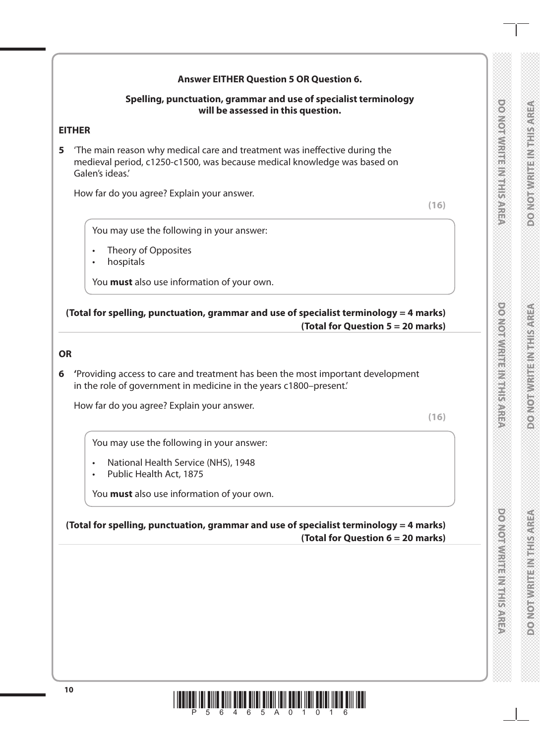# **RESING IF AN ISLAM STRONGO**

**DONOLOGIC INTERNATIONAL PROPERTY** 

**DOMORATION** STATES

**Download With Motified Asset** 

# **Answer EITHER Question 5 OR Question 6.**

#### **Spelling, punctuation, grammar and use of specialist terminology will be assessed in this question.**

#### **EITHER**

**5** 'The main reason why medical care and treatment was ineffective during the medieval period, c1250-c1500, was because medical knowledge was based on Galen's ideas.'

How far do you agree? Explain your answer.

**(16)**

You may use the following in your answer:

- Theory of Opposites
- hospitals

You **must** also use information of your own.

**(Total for spelling, punctuation, grammar and use of specialist terminology = 4 marks) (Total for Question 5 = 20 marks)**

#### **OR**

**6 '**Providing access to care and treatment has been the most important development in the role of government in medicine in the years c1800–present.'

How far do you agree? Explain your answer.

**(16)**

You may use the following in your answer:

- National Health Service (NHS), 1948
- Public Health Act, 1875

You **must** also use information of your own.

**(Total for spelling, punctuation, grammar and use of specialist terminology = 4 marks) (Total for Question 6 = 20 marks)** 

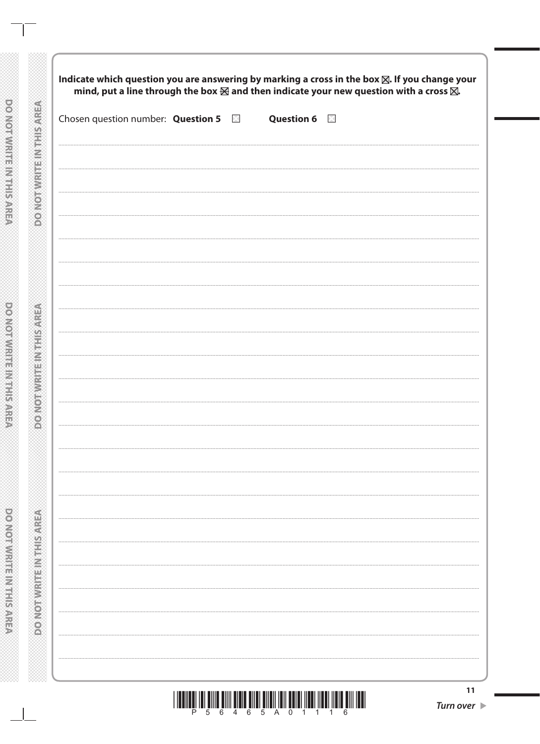| Chosen question number: Question 5 |  | Question 6 |  |
|------------------------------------|--|------------|--|
|                                    |  |            |  |
|                                    |  |            |  |
|                                    |  |            |  |
|                                    |  |            |  |
|                                    |  |            |  |
|                                    |  |            |  |
| $\cdots$                           |  |            |  |
|                                    |  |            |  |
|                                    |  |            |  |
|                                    |  |            |  |
|                                    |  |            |  |
|                                    |  |            |  |
|                                    |  |            |  |
|                                    |  |            |  |
|                                    |  |            |  |
|                                    |  |            |  |
|                                    |  |            |  |
|                                    |  |            |  |
|                                    |  |            |  |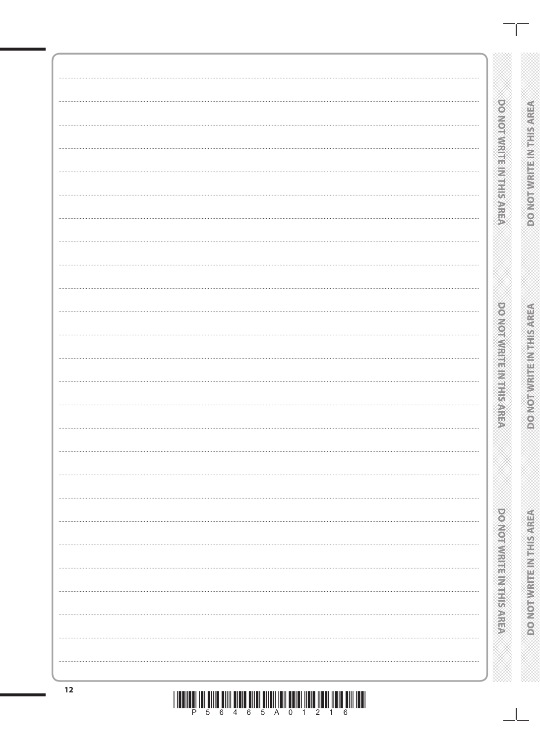| <b>DOMOIDINATION CONST</b><br><b>DOMORATION ISSUED:</b><br><b>POSITION CONTROL IN THE S</b> | $12$ | <u> I Ann ann ann am Linn ann an Linn ann an Linn</u><br>IIIII<br>P.<br>5<br>$2^{-}$<br>6<br>5<br>A<br>$\mathbf{0}$<br>1<br>6<br>4<br>6<br>1. |                                       |
|---------------------------------------------------------------------------------------------|------|-----------------------------------------------------------------------------------------------------------------------------------------------|---------------------------------------|
|                                                                                             |      |                                                                                                                                               | <b>PONOTHER HERE SARE</b>             |
|                                                                                             |      |                                                                                                                                               | <b>CERVICE IN A REPORT OF A STATE</b> |
|                                                                                             |      |                                                                                                                                               | <b>RESIRE FOR ENGINEERING</b>         |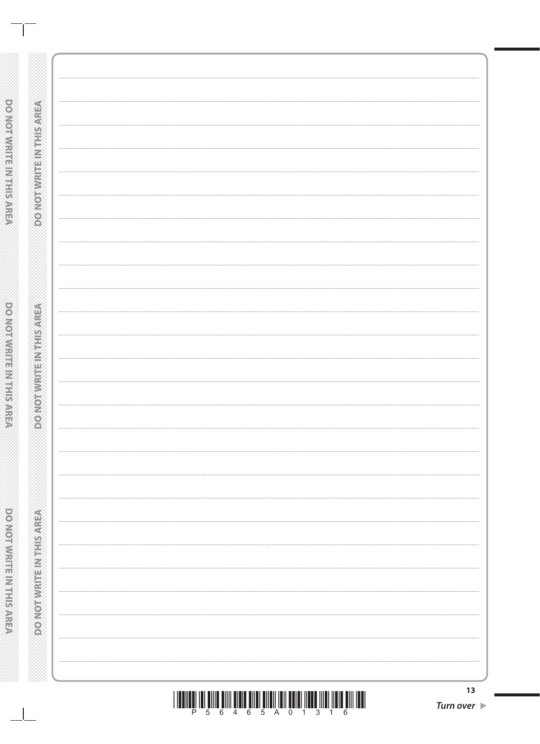| Ő<br>Q                         |  |  |  |
|--------------------------------|--|--|--|
|                                |  |  |  |
| <b>MOTOR REPORTS IN STREET</b> |  |  |  |
|                                |  |  |  |
|                                |  |  |  |
|                                |  |  |  |
| $\frac{1}{2}$                  |  |  |  |
|                                |  |  |  |
|                                |  |  |  |
|                                |  |  |  |
|                                |  |  |  |
| <b>PORTORIUS RESERVATIONS</b>  |  |  |  |
|                                |  |  |  |

a ka

**DOMOTURITIE IN THIS AREA** 

**DOMOTIVE IN THE REFER** 

DOMOTIVITIE IN THIS AREA

 $\Box$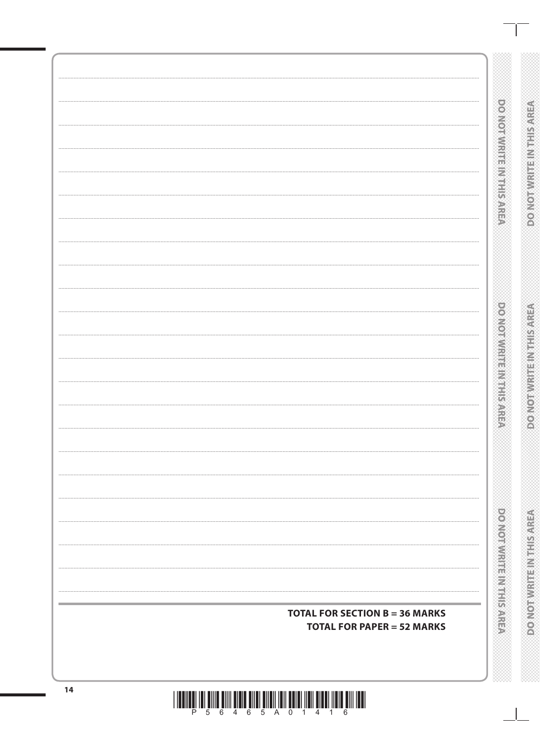| À       |
|---------|
|         |
|         |
|         |
|         |
|         |
|         |
|         |
|         |
|         |
|         |
|         |
|         |
|         |
|         |
|         |
|         |
|         |
|         |
|         |
|         |
|         |
|         |
|         |
|         |
|         |
|         |
|         |
|         |
|         |
|         |
|         |
|         |
| Ŷ       |
|         |
|         |
|         |
|         |
|         |
|         |
|         |
|         |
|         |
|         |
|         |
|         |
|         |
|         |
| ra<br>D |
|         |
|         |
|         |
|         |
|         |
|         |
|         |
|         |
|         |
|         |
|         |
|         |
|         |
|         |
|         |
|         |
|         |
|         |
|         |
| 人生のする?  |
|         |
|         |
|         |
| X       |
|         |
|         |
|         |
|         |
|         |
|         |
|         |
| ŕ       |
|         |
|         |
|         |
|         |
|         |
|         |
|         |
|         |
|         |
|         |
|         |
|         |
|         |
|         |
|         |
|         |

DO NOTWRITE M THIS AREA

DONOTWRITEINTHISAREA

**DONOTWRITEIN THIS AREA** 

**TOTAL FOR SECTION B = 36 MARKS TOTAL FOR PAPER = 52 MARKS** 

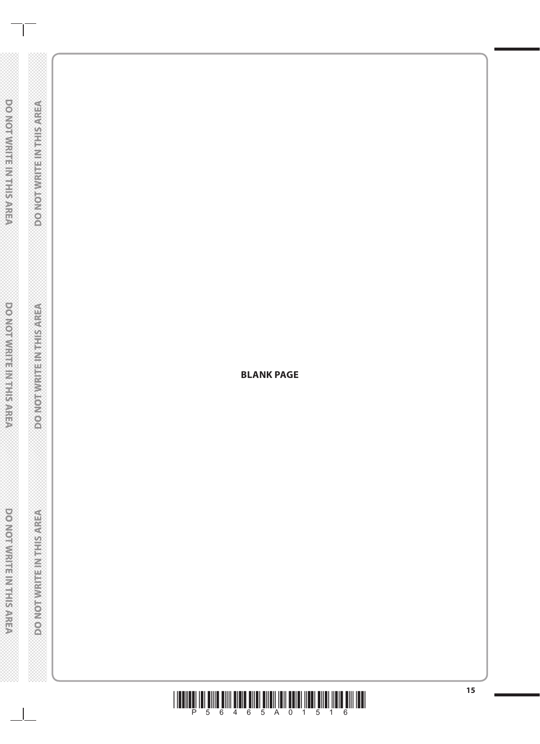$\sim 1$ 

**DO NOTWARE INTHIS AREA** 

**DO NOTAVALE INTERVERS** 

DO NOT WRITE IN THIS AREA

15

**BLANK PAGE**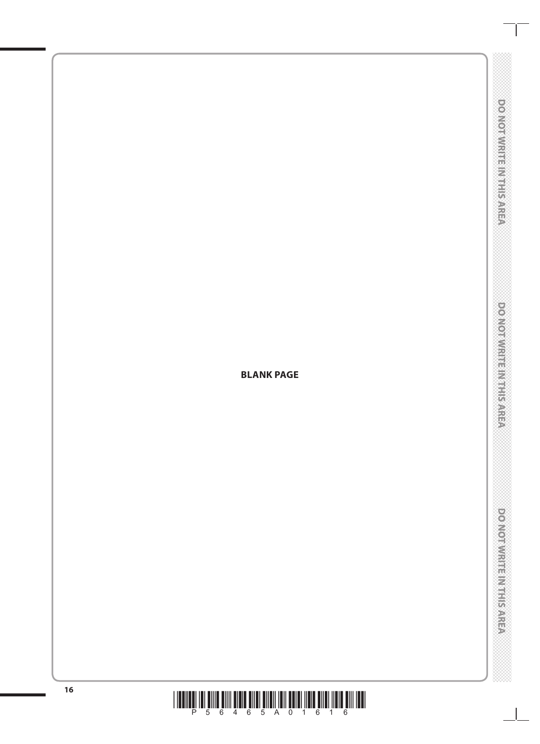# $\begin{array}{c} \vspace{2mm} \begin{array}{c} \vspace{2mm} \begin{array}{c} \vspace{2mm} \end{array} \\ \vspace{2mm} \end{array} \\ \vspace{2mm} \begin{array}{c} \vspace{2mm} \begin{array}{c} \vspace{2mm} \end{array} \\ \vspace{2mm} \end{array} \\ \vspace{2mm} \begin{array}{c} \vspace{2mm} \begin{array}{c} \vspace{2mm} \end{array} \\ \vspace{2mm} \end{array} \\ \vspace{2mm} \begin{array}{c} \vspace{2mm} \begin{array}{c} \vspace{2mm} \end{array} \\ \vspace{2mm} \end{$

DONOTWRITE IN THIS AREA

# **BLANK PAGE**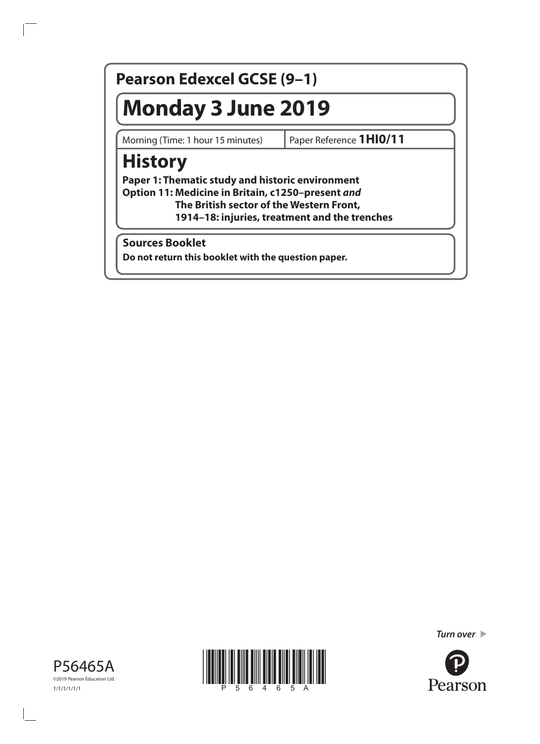**Pearson Edexcel GCSE (9–1) Monday 3 June 2019** Morning (Time: 1 hour 15 minutes) Paper Reference **1HI0/11 Sources Booklet History Paper 1: Thematic study and historic environment Option 11: Medicine in Britain, c1250–present** *and* **The British sector of the Western Front, 1914–18: injuries, treatment and the trenches**

**Do not return this booklet with the question paper.**







*Turn over*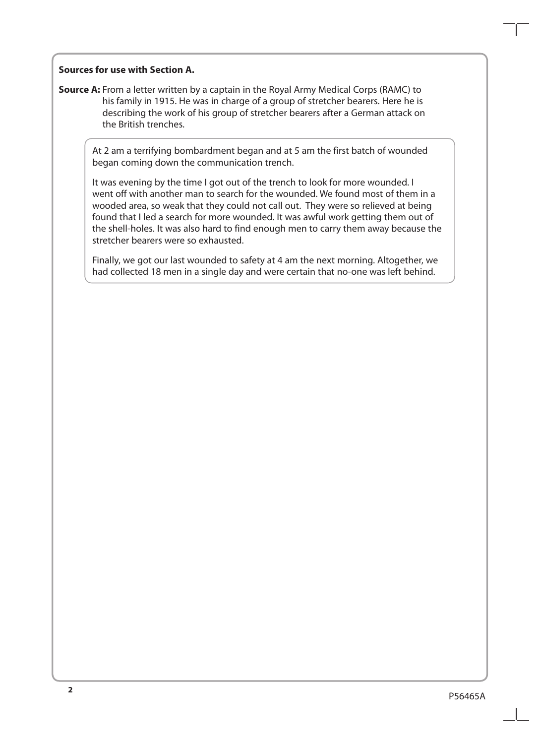#### **Sources for use with Section A.**

**Source A:** From a letter written by a captain in the Royal Army Medical Corps (RAMC) to his family in 1915. He was in charge of a group of stretcher bearers. Here he is describing the work of his group of stretcher bearers after a German attack on the British trenches.

At 2 am a terrifying bombardment began and at 5 am the first batch of wounded began coming down the communication trench.

It was evening by the time I got out of the trench to look for more wounded. I went off with another man to search for the wounded. We found most of them in a wooded area, so weak that they could not call out. They were so relieved at being found that I led a search for more wounded. It was awful work getting them out of the shell-holes. It was also hard to find enough men to carry them away because the stretcher bearers were so exhausted.

Finally, we got our last wounded to safety at 4 am the next morning. Altogether, we had collected 18 men in a single day and were certain that no-one was left behind.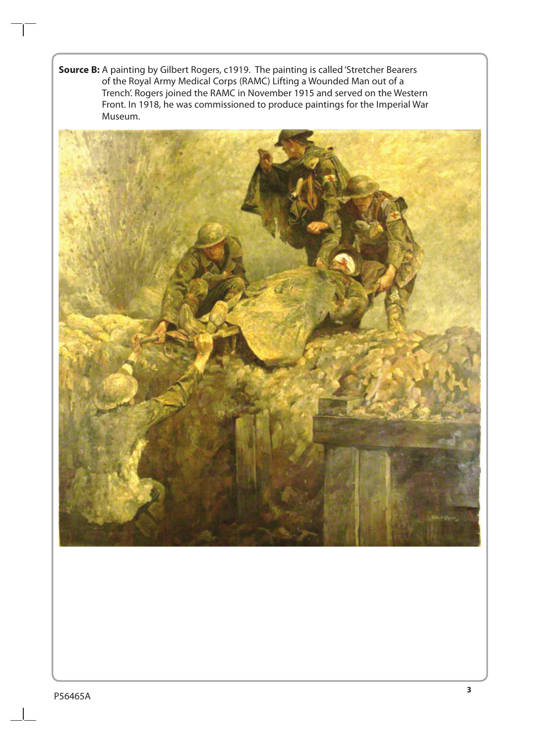**Source B:** A painting by Gilbert Rogers, c1919. The painting is called 'Stretcher Bearers of the Royal Army Medical Corps (RAMC) Lifting a Wounded Man out of a Trench'. Rogers joined the RAMC in November 1915 and served on the Western Front. In 1918, he was commissioned to produce paintings for the Imperial War Museum.